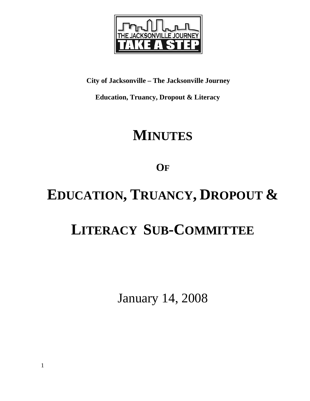

**City of Jacksonville – The Jacksonville Journey** 

 **Education, Truancy, Dropout & Literacy** 

# **MINUTES**

**OF**

# **EDUCATION, TRUANCY, DROPOUT &**

# **LITERACY SUB-COMMITTEE**

January 14, 2008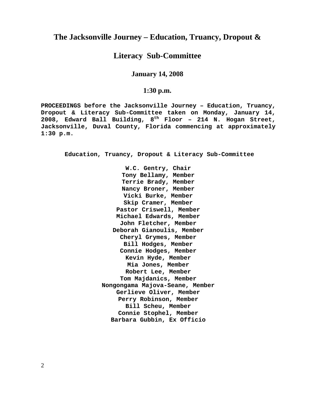# **The Jacksonville Journey – Education, Truancy, Dropout &**

# **Literacy Sub-Committee**

**January 14, 2008** 

#### **1:30 p.m.**

**PROCEEDINGS before the Jacksonville Journey – Education, Truancy, Dropout & Literacy Sub-Committee taken on Monday, January 14, 2008, Edward Ball Building, 8th Floor – 214 N. Hogan Street, Jacksonville, Duval County, Florida commencing at approximately 1:30 p.m.** 

**Education, Truancy, Dropout & Literacy Sub-Committee** 

**W.C. Gentry, Chair Tony Bellamy, Member Terrie Brady, Member Nancy Broner, Member Vicki Burke, Member Skip Cramer, Member Pastor Criswell, Member Michael Edwards, Member John Fletcher, Member Deborah Gianoulis, Member Cheryl Grymes, Member Bill Hodges, Member Connie Hodges, Member Kevin Hyde, Member Mia Jones, Member Robert Lee, Member Tom Majdanics, Member Nongongama Majova-Seane, Member Gerlieve Oliver, Member Perry Robinson, Member Bill Scheu, Member Connie Stophel, Member Barbara Gubbin, Ex Officio** 

2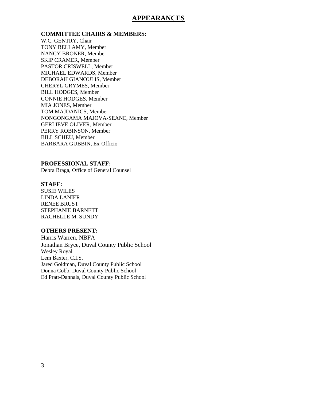### **APPEARANCES**

**COMMITTEE CHAIRS & MEMBERS:**

W.C. GENTRY, Chair TONY BELLAMY, Member NANCY BRONER, Member SKIP CRAMER, Member PASTOR CRISWELL, Member MICHAEL EDWARDS, Member DEBORAH GIANOULIS, Member CHERYL GRYMES, Member BILL HODGES, Member CONNIE HODGES, Member MIA JONES, Member TOM MAJDANICS, Member NONGONGAMA MAJOVA-SEANE, Member GERLIEVE OLIVER, Member PERRY ROBINSON, Member BILL SCHEU, Member BARBARA GUBBIN, Ex-Officio

#### **PROFESSIONAL STAFF:**

Debra Braga, Office of General Counsel

#### **STAFF:**

SUSIE WILES LINDA LANIER RENEE BRUST STEPHANIE BARNETT RACHELLE M. SUNDY

#### **OTHERS PRESENT:**

Harris Warren, NBFA Jonathan Bryce, Duval County Public School Wesley Royal Lem Baxter, C.I.S. Jared Goldman, Duval County Public School Donna Cobb, Duval County Public School Ed Pratt-Dannals, Duval County Public School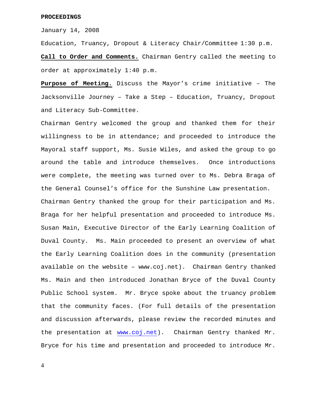#### **PROCEEDINGS**

January 14, 2008

Education, Truancy, Dropout & Literacy Chair/Committee 1:30 p.m.

**Call to Order and Comments.** Chairman Gentry called the meeting to order at approximately 1:40 p.m.

**Purpose of Meeting.** Discuss the Mayor's crime initiative – The Jacksonville Journey – Take a Step – Education, Truancy, Dropout and Literacy Sub-Committee.

Chairman Gentry welcomed the group and thanked them for their willingness to be in attendance; and proceeded to introduce the Mayoral staff support, Ms. Susie Wiles, and asked the group to go around the table and introduce themselves. Once introductions were complete, the meeting was turned over to Ms. Debra Braga of the General Counsel's office for the Sunshine Law presentation. Chairman Gentry thanked the group for their participation and Ms. Braga for her helpful presentation and proceeded to introduce Ms. Susan Main, Executive Director of the Early Learning Coalition of Duval County. Ms. Main proceeded to present an overview of what the Early Learning Coalition does in the community (presentation available on the website – www.coj.net). Chairman Gentry thanked Ms. Main and then introduced Jonathan Bryce of the Duval County Public School system. Mr. Bryce spoke about the truancy problem that the community faces. (For full details of the presentation and discussion afterwards, please review the recorded minutes and the presentation at [www.coj.net\)](http://www.coj.net/). Chairman Gentry thanked Mr. Bryce for his time and presentation and proceeded to introduce Mr.

4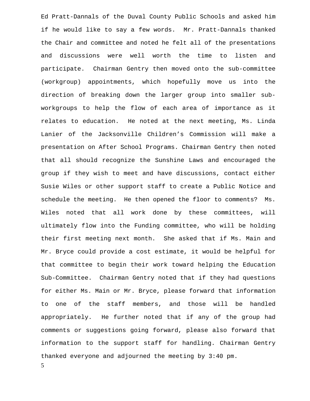Ed Pratt-Dannals of the Duval County Public Schools and asked him if he would like to say a few words. Mr. Pratt-Dannals thanked the Chair and committee and noted he felt all of the presentations and discussions were well worth the time to listen and participate. Chairman Gentry then moved onto the sub-committee (workgroup) appointments, which hopefully move us into the direction of breaking down the larger group into smaller subworkgroups to help the flow of each area of importance as it relates to education. He noted at the next meeting, Ms. Linda Lanier of the Jacksonville Children's Commission will make a presentation on After School Programs. Chairman Gentry then noted that all should recognize the Sunshine Laws and encouraged the group if they wish to meet and have discussions, contact either Susie Wiles or other support staff to create a Public Notice and schedule the meeting. He then opened the floor to comments? Ms. Wiles noted that all work done by these committees, will ultimately flow into the Funding committee, who will be holding their first meeting next month. She asked that if Ms. Main and Mr. Bryce could provide a cost estimate, it would be helpful for that committee to begin their work toward helping the Education Sub-Committee. Chairman Gentry noted that if they had questions for either Ms. Main or Mr. Bryce, please forward that information to one of the staff members, and those will be handled appropriately. He further noted that if any of the group had comments or suggestions going forward, please also forward that information to the support staff for handling. Chairman Gentry thanked everyone and adjourned the meeting by 3:40 pm.

5